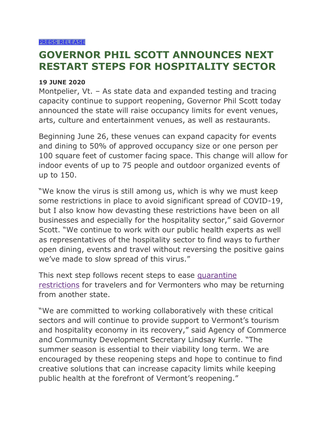## **GOVERNOR PHIL SCOTT ANNOUNCES NEXT RESTART STEPS FOR HOSPITALITY SECTOR**

## **19 JUNE 2020**

Montpelier, Vt. – As state data and expanded testing and tracing capacity continue to support reopening, Governor Phil Scott today announced the state will raise occupancy limits for event venues, arts, culture and entertainment venues, as well as restaurants.

Beginning June 26, these venues can expand capacity for events and dining to 50% of approved occupancy size or one person per 100 square feet of customer facing space. This change will allow for indoor events of up to 75 people and outdoor organized events of up to 150.

"We know the virus is still among us, which is why we must keep some restrictions in place to avoid significant spread of COVID-19, but I also know how devasting these restrictions have been on all businesses and especially for the hospitality sector," said Governor Scott. "We continue to work with our public health experts as well as representatives of the hospitality sector to find ways to further open dining, events and travel without reversing the positive gains we've made to slow spread of this virus."

This next step follows recent steps to ease [quarantine](https://www.healthvermont.gov/response/coronavirus-covid-19/traveling-vermont)  [restrictions](https://www.healthvermont.gov/response/coronavirus-covid-19/traveling-vermont) for travelers and for Vermonters who may be returning from another state.

"We are committed to working collaboratively with these critical sectors and will continue to provide support to Vermont's tourism and hospitality economy in its recovery," said Agency of Commerce and Community Development Secretary Lindsay Kurrle. "The summer season is essential to their viability long term. We are encouraged by these reopening steps and hope to continue to find creative solutions that can increase capacity limits while keeping public health at the forefront of Vermont's reopening."